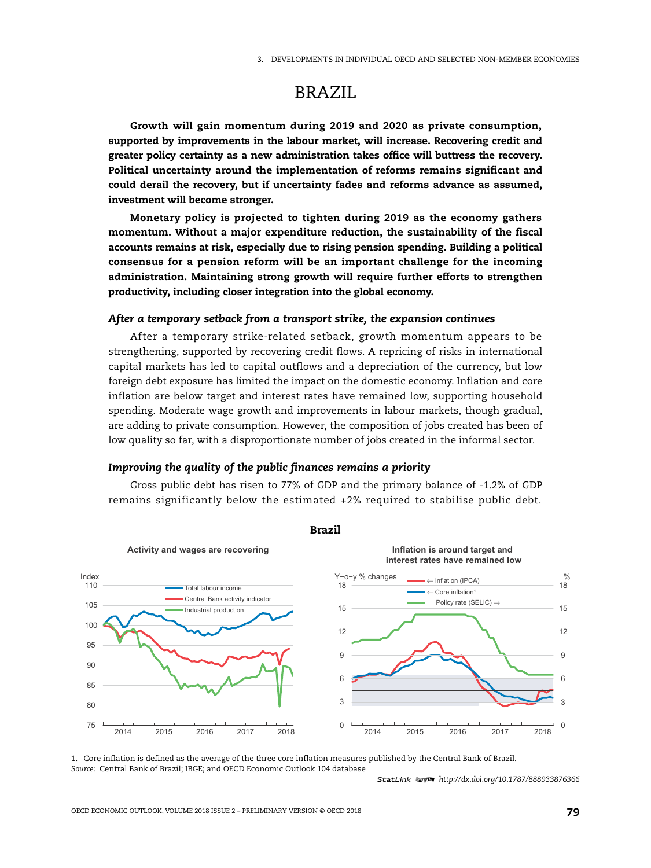# BRAZIL

**Growth will gain momentum during 2019 and 2020 as private consumption, supported by improvements in the labour market, will increase. Recovering credit and greater policy certainty as a new administration takes office will buttress the recovery. Political uncertainty around the implementation of reforms remains significant and could derail the recovery, but if uncertainty fades and reforms advance as assumed, investment will become stronger.**

**Monetary policy is projected to tighten during 2019 as the economy gathers momentum. Without a major expenditure reduction, the sustainability of the fiscal accounts remains at risk, especially due to rising pension spending. Building a political consensus for a pension reform will be an important challenge for the incoming administration. Maintaining strong growth will require further efforts to strengthen productivity, including closer integration into the global economy.**

## *After a temporary setback from a transport strike, the expansion continues*

After a temporary strike-related setback, growth momentum appears to be strengthening, supported by recovering credit flows. A repricing of risks in international capital markets has led to capital outflows and a depreciation of the currency, but low foreign debt exposure has limited the impact on the domestic economy. Inflation and core inflation are below target and interest rates have remained low, supporting household spending. Moderate wage growth and improvements in labour markets, though gradual, are adding to private consumption. However, the composition of jobs created has been of low quality so far, with a disproportionate number of jobs created in the informal sector.

#### *Improving the quality of the public finances remains a priority*

Gross public debt has risen to 77% of GDP and the primary balance of -1.2% of GDP remains significantly below the estimated +2% required to stabilise public debt.



**Brazil**

1. Core inflation is defined as the average of the three core inflation measures published by the Central Bank of Brazil. *Source:* Central Bank of Brazil; IBGE; and OECD Economic Outlook 104 database

1 2 *http://dx.doi.org/10.1787/888933876366*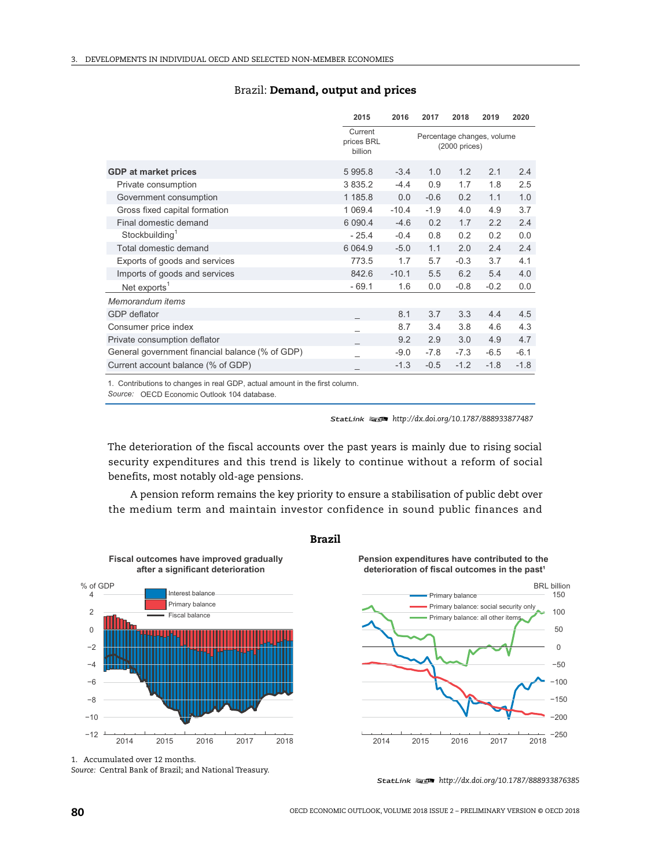|                                                 | 2015                             | 2016                                           | 2017   | 2018   | 2019   | 2020   |
|-------------------------------------------------|----------------------------------|------------------------------------------------|--------|--------|--------|--------|
|                                                 | Current<br>prices BRL<br>billion | Percentage changes, volume<br>$(2000)$ prices) |        |        |        |        |
| <b>GDP</b> at market prices                     | 5 9 9 5.8                        | $-3.4$                                         | 1.0    | 1.2    | 2.1    | 2.4    |
| Private consumption                             | 3 8 3 5.2                        | $-4.4$                                         | 0.9    | 1.7    | 1.8    | 2.5    |
| Government consumption                          | 1 185.8                          | 0.0                                            | $-0.6$ | 0.2    | 1.1    | 1.0    |
| Gross fixed capital formation                   | 1 0 6 9.4                        | $-10.4$                                        | $-1.9$ | 4.0    | 4.9    | 3.7    |
| Final domestic demand                           | 6 0 9 0.4                        | $-4.6$                                         | 0.2    | 1.7    | 2.2    | 2.4    |
| Stockbuilding <sup>1</sup>                      | $-25.4$                          | $-0.4$                                         | 0.8    | 0.2    | 0.2    | 0.0    |
| Total domestic demand                           | 6 0 6 4 .9                       | $-5.0$                                         | 1.1    | 2.0    | 2.4    | 2.4    |
| Exports of goods and services                   | 773.5                            | 1.7                                            | 5.7    | $-0.3$ | 3.7    | 4.1    |
| Imports of goods and services                   | 842.6                            | $-10.1$                                        | 5.5    | 6.2    | 5.4    | 4.0    |
| Net exports <sup>1</sup>                        | $-69.1$                          | 1.6                                            | 0.0    | $-0.8$ | $-0.2$ | 0.0    |
| Memorandum items                                |                                  |                                                |        |        |        |        |
| <b>GDP</b> deflator                             |                                  | 8.1                                            | 3.7    | 3.3    | 4.4    | 4.5    |
| Consumer price index                            |                                  | 8.7                                            | 3.4    | 3.8    | 4.6    | 4.3    |
| Private consumption deflator                    |                                  | 9.2                                            | 2.9    | 3.0    | 4.9    | 4.7    |
| General government financial balance (% of GDP) |                                  | $-9.0$                                         | $-7.8$ | $-7.3$ | $-6.5$ | $-6.1$ |
| Current account balance (% of GDP)              |                                  | $-1.3$                                         | $-0.5$ | $-1.2$ | $-1.8$ | $-1.8$ |

## Brazil: **Demand, output and prices**

1. Contributions to changes in real GDP, actual amount in the first column.

Source: OECD Economic Outlook 104 database.

1 2 *http://dx.doi.org/10.1787/888933877487*

The deterioration of the fiscal accounts over the past years is mainly due to rising social security expenditures and this trend is likely to continue without a reform of social benefits, most notably old-age pensions.

A pension reform remains the key priority to ensure a stabilisation of public debt over the medium term and maintain investor confidence in sound public finances and



**Fiscal outcomes have improved gradually** 



**Pension expenditures have contributed to the** deterioration of fiscal outcomes in the past<sup>1</sup>



1. Accumulated over 12 months.

*Source:* Central Bank of Brazil; and National Treasury.

<sup>1 2</sup> *http://dx.doi.org/10.1787/888933876385*